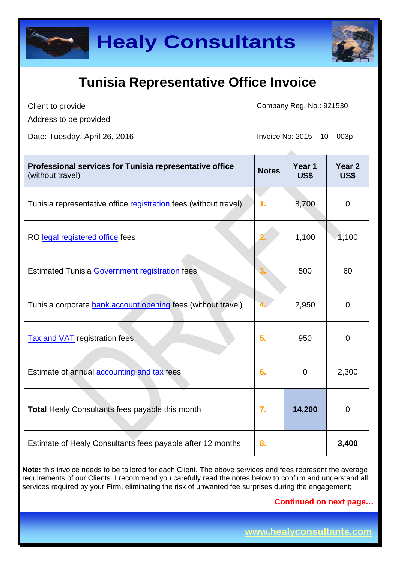



Client to provide Address to be provided Company Reg. No.: 921530

Date: Tuesday, April 26, 2016 **Invoice No: 2015** – 10 – 003p

| Professional services for Tunisia representative office<br>(without travel) | <b>Notes</b>     | Year 1<br>US\$ | Year <sub>2</sub><br>US\$ |
|-----------------------------------------------------------------------------|------------------|----------------|---------------------------|
| Tunisia representative office registration fees (without travel)            | $\mathbf 1$ .    | 8,700          | $\overline{0}$            |
| RO legal registered office fees                                             | 2.               | 1,100          | 1,100                     |
| <b>Estimated Tunisia Government registration fees</b>                       |                  | 500            | 60                        |
| Tunisia corporate bank account opening fees (without travel)                |                  | 2,950          | $\overline{0}$            |
| <b>Tax and VAT</b> registration fees                                        | 5.               | 950            | $\Omega$                  |
| Estimate of annual accounting and tax fees                                  | 6.               | $\mathbf 0$    | 2,300                     |
| <b>Total Healy Consultants fees payable this month</b>                      | $\overline{7}$ . | 14,200         | $\Omega$                  |
| Estimate of Healy Consultants fees payable after 12 months                  | 8.               |                | 3,400                     |

**Note:** this invoice needs to be tailored for each Client. The above services and fees represent the average requirements of our Clients. I recommend you carefully read the notes below to confirm and understand all services required by your Firm, eliminating the risk of unwanted fee surprises during the engagement;

**Continued on next page…**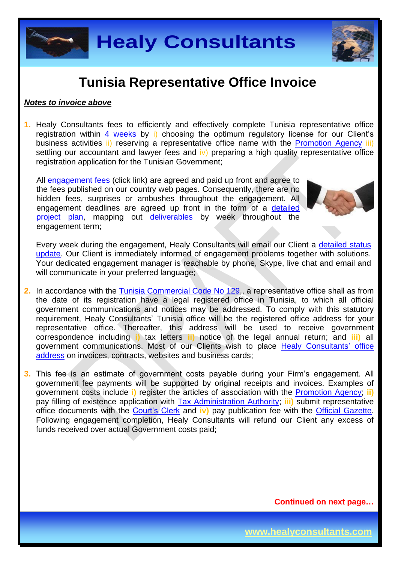



#### *Notes to invoice above*

**1.** Healy Consultants fees to efficiently and effectively complete Tunisia representative office registration within 4 [weeks](http://www.healyconsultants.com/tunisia-company-registration/fees-timelines/#timelines) by i) choosing the optimum regulatory license for our Client's business activities ii) reserving a representative office name with the [Promotion Agency](http://www.tunisieindustrie.nat.tn/fr/doc.asp?mcat=13&mrub=96) iii) settling our accountant and lawyer fees and  $|v\rangle$  preparing a high quality representative office registration application for the Tunisian Government;

All [engagement fees](http://www.healyconsultants.com/company-registration-fees/) (click link) are agreed and paid up front and agree to the fees published on our country web pages. Consequently, there are no hidden fees, surprises or ambushes throughout the engagement. All engagement deadlines are agreed up front in the form of a [detailed](http://www.healyconsultants.com/index-important-links/example-project-plan/)  [project plan,](http://www.healyconsultants.com/index-important-links/example-project-plan/) mapping out [deliverables](http://www.healyconsultants.com/deliverables-to-our-clients/) by week throughout the engagement term;



Every week during the engagement, Healy Consultants will email our Client a [detailed status](http://www.healyconsultants.com/index-important-links/weekly-engagement-status-email/)  [update.](http://www.healyconsultants.com/index-important-links/weekly-engagement-status-email/) Our Client is immediately informed of engagement problems together with solutions. Your dedicated engagement manager is reachable by phone, Skype, live chat and email and will communicate in your preferred language;

- **2.** In accordance with the [Tunisia Commercial Code No 129,](http://www.wipo.int/wipolex/en/text.jsp?file_id=202217), a representative office shall as from the date of its registration have a legal registered office in Tunisia, to which all official government communications and notices may be addressed. To comply with this statutory requirement, Healy Consultants' Tunisia office will be the registered office address for your representative office. Thereafter, this address will be used to receive government correspondence including **i)** tax letters **ii)** notice of the legal annual return; and **iii)** all government communications. Most of our Clients wish to place [Healy Consultants'](http://www.healyconsultants.com/corporate-outsourcing-services/company-secretary-and-legal-registered-office/) office [address](http://www.healyconsultants.com/corporate-outsourcing-services/company-secretary-and-legal-registered-office/) on invoices, contracts, websites and business cards;
- **3.** This fee is an estimate of government costs payable during your Firm's engagement. All government fee payments will be supported by original receipts and invoices. Examples of government costs include **i)** register the articles of association with the [Promotion Agency;](http://www.tunisieindustrie.nat.tn/fr/doc.asp?mcat=13&mrub=96) **ii)** pay filling of existence application with [Tax Administration Authority;](http://www.pm.gov.tn/pm/article/article.php?id=199&lang=en) **iii)** submit representative office documents with the [Court's Clerk](http://www.tunisieindustrie.nat.tn/en/doc.asp?mcat=13&mrub=99&msrub=184&dev=true#&tar&) and **iv)** pay publication fee with the [Official Gazette.](http://www.linguee.com/french-english/translation/journal+officiel+de+la+r%C3%A9publique+tunisienne.html) Following engagement completion, Healy Consultants will refund our Client any excess of funds received over actual Government costs paid;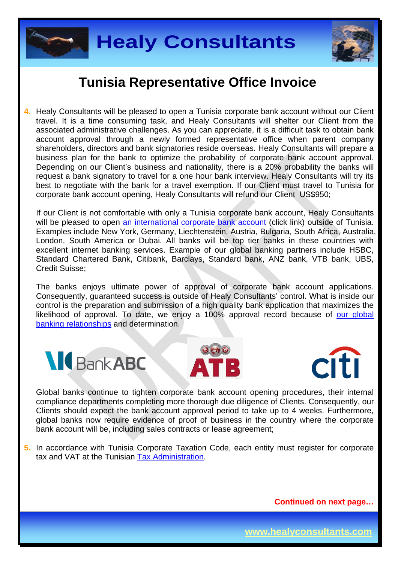



**4.** Healy Consultants will be pleased to open a Tunisia corporate bank account without our Client travel. It is a time consuming task, and Healy Consultants will shelter our Client from the associated administrative challenges. As you can appreciate, it is a difficult task to obtain bank account approval through a newly formed representative office when parent company shareholders, directors and bank signatories reside overseas. Healy Consultants will prepare a business plan for the bank to optimize the probability of corporate bank account approval. Depending on our Client's business and nationality, there is a 20% probability the banks will request a bank signatory to travel for a one hour bank interview. Healy Consultants will try its best to negotiate with the bank for a travel exemption. If our Client must travel to Tunisia for corporate bank account opening, Healy Consultants will refund our Client US\$950;

If our Client is not comfortable with only a Tunisia corporate bank account, Healy Consultants will be pleased to open [an international corporate bank account](http://www.healyconsultants.com/international-banking/) (click link) outside of Tunisia. Examples include New York, Germany, Liechtenstein, Austria, Bulgaria, South Africa, Australia, London, South America or Dubai. All banks will be top tier banks in these countries with excellent internet banking services. Example of our global banking partners include HSBC, Standard Chartered Bank, Citibank, Barclays, Standard bank, ANZ bank, VTB bank, UBS, Credit Suisse;

The banks enjoys ultimate power of approval of corporate bank account applications. Consequently, guaranteed success is outside of Healy Consultants' control. What is inside our control is the preparation and submission of a high quality bank application that maximizes the likelihood of approval. To date, we enjoy a 100% approval record because of our global [banking relationships](http://www.healyconsultants.com/international-banking/corporate-accounts/) and determination.







Global banks continue to tighten corporate bank account opening procedures, their internal compliance departments completing more thorough due diligence of Clients. Consequently, our Clients should expect the bank account approval period to take up to 4 weeks. Furthermore, global banks now require evidence of proof of business in the country where the corporate bank account will be, including sales contracts or lease agreement;

**5.** In accordance with Tunisia Corporate Taxation Code, each entity must register for corporate tax and VAT at the Tunisian [Tax Administration.](http://www.pm.gov.tn/pm/article/article.php?id=199&lang=en)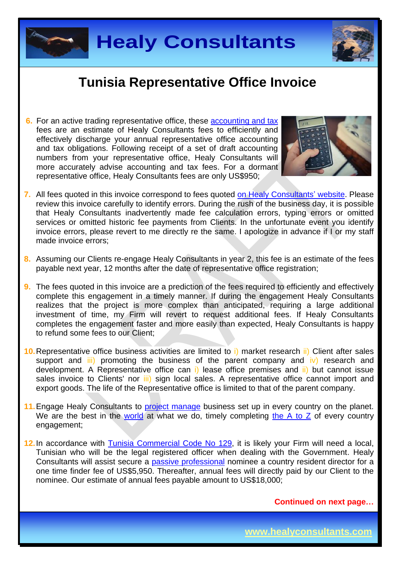



**6.** For an active trading representative office, these [accounting and tax](http://www.healyconsultants.com/tunisia-company-registration/accounting-legal/) fees are an estimate of Healy Consultants fees to efficiently and effectively discharge your annual representative office accounting and tax obligations. Following receipt of a set of draft accounting numbers from your representative office, Healy Consultants will more accurately advise accounting and tax fees. For a dormant representative office, Healy Consultants fees are only US\$950;



- **7.** All fees quoted in this invoice correspond to fees quoted [on Healy Consultants'](http://www.healyconsultants.com/company-registration-fees/) website. Please review this invoice carefully to identify errors. During the rush of the business day, it is possible that Healy Consultants inadvertently made fee calculation errors, typing errors or omitted services or omitted historic fee payments from Clients. In the unfortunate event you identify invoice errors, please revert to me directly re the same. I apologize in advance if I or my staff made invoice errors;
- **8.** Assuming our Clients re-engage Healy Consultants in year 2, this fee is an estimate of the fees payable next year, 12 months after the date of representative office registration;
- **9.** The fees quoted in this invoice are a prediction of the fees required to efficiently and effectively complete this engagement in a timely manner. If during the engagement Healy Consultants realizes that the project is more complex than anticipated, requiring a large additional investment of time, my Firm will revert to request additional fees. If Healy Consultants completes the engagement faster and more easily than expected, Healy Consultants is happy to refund some fees to our Client;
- **10.**Representative office business activities are limited to i) market research ii) Client after sales support and  $\overline{iii}$  promoting the business of the parent company and  $\overline{iv}$  research and development. A Representative office can i) lease office premises and ii) but cannot issue sales invoice to Clients' nor *iii*) sign local sales. A representative office cannot import and export goods. The life of the Representative office is limited to that of the parent company.
- **11.** Engage Healy Consultants to [project manage](http://www.healyconsultants.com/project-manage-engagements/) business set up in every country on the planet. We are the best in the [world](http://www.healyconsultants.com/best-in-the-world/) at what we do, timely completing [the A to Z](http://www.healyconsultants.com/a-to-z-of-business-set-up/) of every country engagement;
- 12. In accordance with [Tunisia Commercial Code No 129,](http://www.wipo.int/wipolex/en/text.jsp?file_id=202217) it is likely your Firm will need a local, Tunisian who will be the legal registered officer when dealing with the Government. Healy Consultants will assist secure a [passive professional](http://www.healyconsultants.com/resident-director-services/) nominee a country resident director for a one time finder fee of US\$5,950. Thereafter, annual fees will directly paid by our Client to the nominee. Our estimate of annual fees payable amount to US\$18,000;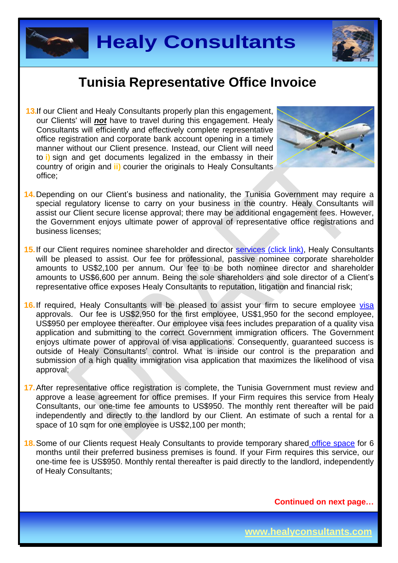



**13.** If our Client and Healy Consultants properly plan this engagement, our Clients' will *not* have to travel during this engagement. Healy Consultants will efficiently and effectively complete representative office registration and corporate bank account opening in a timely manner without our Client presence. Instead, our Client will need to **i)** sign and get documents legalized in the embassy in their country of origin and **ii)** courier the originals to Healy Consultants office;



- 14. Depending on our Client's business and nationality, the Tunisia Government may require a special regulatory license to carry on your business in the country. Healy Consultants will assist our Client secure license approval; there may be additional engagement fees. However, the Government enjoys ultimate power of approval of representative office registrations and business licenses;
- 15. If our Client requires nominee shareholder and director services [\(click link\),](http://www.healyconsultants.com/corporate-outsourcing-services/nominee-shareholders-directors/) Healy Consultants will be pleased to assist. Our fee for professional, passive nominee corporate shareholder amounts to US\$2,100 per annum. Our fee to be both nominee director and shareholder amounts to US\$6,600 per annum. Being the sole shareholders and sole director of a Client's representative office exposes Healy Consultants to reputation, litigation and financial risk;
- 16. If required, Healy Consultants will be pleased to assist your firm to secure employee [visa](http://www.healyconsultants.com/corporate-advisory-services/migration/) approvals. Our fee is US\$2,950 for the first employee, US\$1,950 for the second employee, US\$950 per employee thereafter. Our employee visa fees includes preparation of a quality visa application and submitting to the correct Government immigration officers. The Government enjoys ultimate power of approval of visa applications. Consequently, guaranteed success is outside of Healy Consultants' control. What is inside our control is the preparation and submission of a high quality immigration visa application that maximizes the likelihood of visa approval;
- **17.** After representative office registration is complete, the Tunisia Government must review and approve a lease agreement for office premises. If your Firm requires this service from Healy Consultants, our one-time fee amounts to US\$950. The monthly rent thereafter will be paid independently and directly to the landlord by our Client. An estimate of such a rental for a space of 10 sqm for one employee is US\$2,100 per month;
- **18.** Some of our Clients request Healy Consultants to provide temporary shared [office space](http://www.healyconsultants.com/virtual-office/) for 6 months until their preferred business premises is found. If your Firm requires this service, our one-time fee is US\$950. Monthly rental thereafter is paid directly to the landlord, independently of Healy Consultants;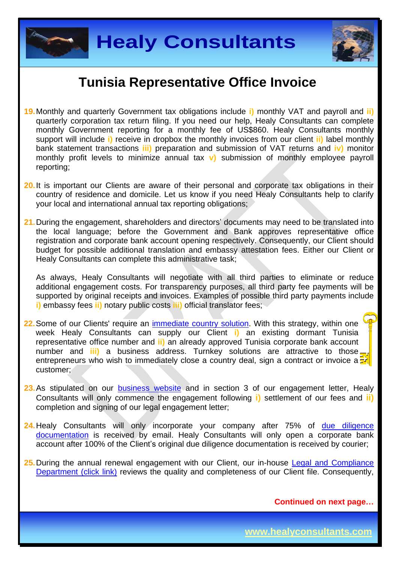



- **19.** Monthly and quarterly Government tax obligations include **i)** monthly VAT and payroll and **ii)**  quarterly corporation tax return filing. If you need our help, Healy Consultants can complete monthly Government reporting for a monthly fee of US\$860. Healy Consultants monthly support will include **i)** receive in dropbox the monthly invoices from our client **ii)** label monthly bank statement transactions **iii)** preparation and submission of VAT returns and **iv)** monitor monthly profit levels to minimize annual tax **v)** submission of monthly employee payroll reporting;
- 20. It is important our Clients are aware of their personal and corporate tax obligations in their country of residence and domicile. Let us know if you need Healy Consultants help to clarify your local and international annual tax reporting obligations;
- **21.** During the engagement, shareholders and directors' documents may need to be translated into the local language; before the Government and Bank approves representative office registration and corporate bank account opening respectively. Consequently, our Client should budget for possible additional translation and embassy attestation fees. Either our Client or Healy Consultants can complete this administrative task;

As always, Healy Consultants will negotiate with all third parties to eliminate or reduce additional engagement costs. For transparency purposes, all third party fee payments will be supported by original receipts and invoices. Examples of possible third party payments include **i)** embassy fees **ii)** notary public costs **iii)** official translator fees;

- 22. Some of our Clients' require an [immediate country solution.](http://www.healyconsultants.com/turnkey-solutions/) With this strategy, within one week Healy Consultants can supply our Client **i)** an existing dormant Tunisia representative office number and **ii)** an already approved Tunisia corporate bank account number and **iii)** a business address. Turnkey solutions are attractive to those entrepreneurs who wish to immediately close a country deal, sign a contract or invoice a customer;
- 23. As stipulated on our **[business website](http://www.healyconsultants.com/)** and in section 3 of our engagement letter, Healy Consultants will only commence the engagement following **i)** settlement of our fees and **ii)** completion and signing of our legal engagement letter;
- **24.** Healy Consultants will only incorporate your company after 75% of due diligence [documentation](http://www.healyconsultants.com/due-diligence/) is received by email. Healy Consultants will only open a corporate bank account after 100% of the Client's original due diligence documentation is received by courier;
- 25. During the annual renewal engagement with our Client, our in-house Legal and Compliance [Department \(click link\)](http://www.healyconsultants.com/about-us/key-personnel/cai-xin-profile/) reviews the quality and completeness of our Client file. Consequently,

**Continued on next page…**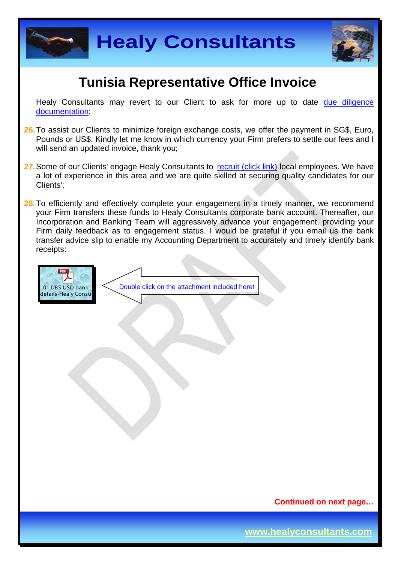



Healy Consultants may revert to our Client to ask for more up to date due diligence [documentation;](http://www.healyconsultants.com/due-diligence/)

- **26.** To assist our Clients to minimize foreign exchange costs, we offer the payment in SG\$, Euro, Pounds or US\$. Kindly let me know in which currency your Firm prefers to settle our fees and I will send an updated invoice, thank you;
- 27. Some of our Clients' engage Healy Consultants to [recruit \(click link\)](http://www.healyconsultants.com/corporate-outsourcing-services/how-we-help-our-clients-recruit-quality-employees/) local employees. We have a lot of experience in this area and we are quite skilled at securing quality candidates for our Clients';
- 28. To efficiently and effectively complete your engagement in a timely manner, we recommend your Firm transfers these funds to Healy Consultants corporate bank account. Thereafter, our Incorporation and Banking Team will aggressively advance your engagement, providing your Firm daily feedback as to engagement status. I would be grateful if you email us the bank transfer advice slip to enable my Accounting Department to accurately and timely identify bank receipts:



**Continued on next page…**